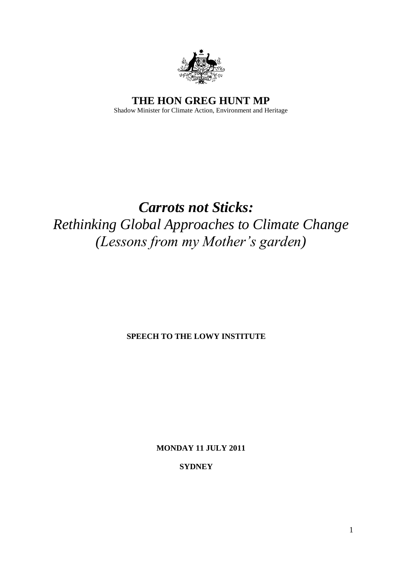

**THE HON GREG HUNT MP** Shadow Minister for Climate Action, Environment and Heritage

# *Carrots not Sticks: Rethinking Global Approaches to Climate Change (Lessons from my Mother's garden)*

**SPEECH TO THE LOWY INSTITUTE**

**MONDAY 11 JULY 2011**

**SYDNEY**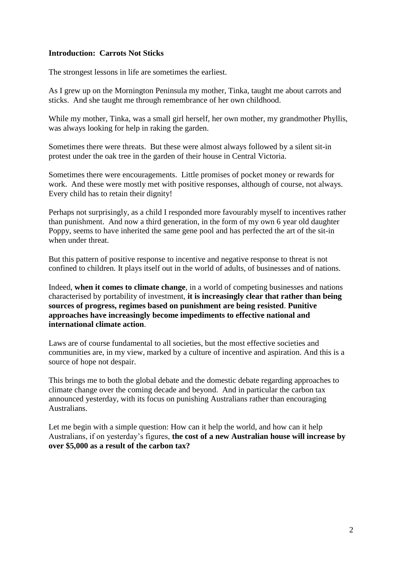## **Introduction: Carrots Not Sticks**

The strongest lessons in life are sometimes the earliest.

As I grew up on the Mornington Peninsula my mother, Tinka, taught me about carrots and sticks. And she taught me through remembrance of her own childhood.

While my mother, Tinka, was a small girl herself, her own mother, my grandmother Phyllis, was always looking for help in raking the garden.

Sometimes there were threats. But these were almost always followed by a silent sit-in protest under the oak tree in the garden of their house in Central Victoria.

Sometimes there were encouragements. Little promises of pocket money or rewards for work. And these were mostly met with positive responses, although of course, not always. Every child has to retain their dignity!

Perhaps not surprisingly, as a child I responded more favourably myself to incentives rather than punishment. And now a third generation, in the form of my own 6 year old daughter Poppy, seems to have inherited the same gene pool and has perfected the art of the sit-in when under threat.

But this pattern of positive response to incentive and negative response to threat is not confined to children. It plays itself out in the world of adults, of businesses and of nations.

Indeed, **when it comes to climate change**, in a world of competing businesses and nations characterised by portability of investment, **it is increasingly clear that rather than being sources of progress, regimes based on punishment are being resisted**. **Punitive approaches have increasingly become impediments to effective national and international climate action**.

Laws are of course fundamental to all societies, but the most effective societies and communities are, in my view, marked by a culture of incentive and aspiration. And this is a source of hope not despair.

This brings me to both the global debate and the domestic debate regarding approaches to climate change over the coming decade and beyond. And in particular the carbon tax announced yesterday, with its focus on punishing Australians rather than encouraging Australians.

Let me begin with a simple question: How can it help the world, and how can it help Australians, if on yesterday's figures, **the cost of a new Australian house will increase by over \$5,000 as a result of the carbon tax?**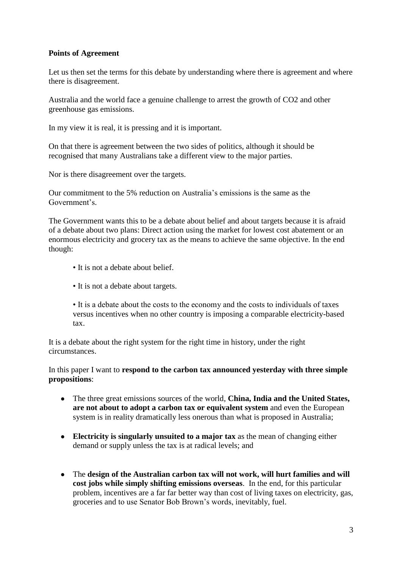## **Points of Agreement**

Let us then set the terms for this debate by understanding where there is agreement and where there is disagreement.

Australia and the world face a genuine challenge to arrest the growth of CO2 and other greenhouse gas emissions.

In my view it is real, it is pressing and it is important.

On that there is agreement between the two sides of politics, although it should be recognised that many Australians take a different view to the major parties.

Nor is there disagreement over the targets.

Our commitment to the 5% reduction on Australia's emissions is the same as the Government's.

The Government wants this to be a debate about belief and about targets because it is afraid of a debate about two plans: Direct action using the market for lowest cost abatement or an enormous electricity and grocery tax as the means to achieve the same objective. In the end though:

- It is not a debate about belief.
- It is not a debate about targets.

• It is a debate about the costs to the economy and the costs to individuals of taxes versus incentives when no other country is imposing a comparable electricity-based tax.

It is a debate about the right system for the right time in history, under the right circumstances.

In this paper I want to **respond to the carbon tax announced yesterday with three simple propositions**:

- The three great emissions sources of the world, **China, India and the United States,**  $\bullet$ **are not about to adopt a carbon tax or equivalent system** and even the European system is in reality dramatically less onerous than what is proposed in Australia;
- **Electricity is singularly unsuited to a major tax** as the mean of changing either demand or supply unless the tax is at radical levels; and
- $\bullet$ The **design of the Australian carbon tax will not work, will hurt families and will cost jobs while simply shifting emissions overseas**. In the end, for this particular problem, incentives are a far far better way than cost of living taxes on electricity, gas, groceries and to use Senator Bob Brown's words, inevitably, fuel.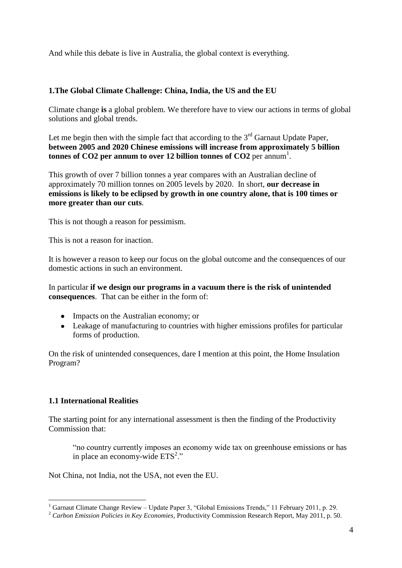And while this debate is live in Australia, the global context is everything.

#### **1.The Global Climate Challenge: China, India, the US and the EU**

Climate change **is** a global problem. We therefore have to view our actions in terms of global solutions and global trends.

Let me begin then with the simple fact that according to the  $3<sup>rd</sup>$  Garnaut Update Paper, **between 2005 and 2020 Chinese emissions will increase from approximately 5 billion tonnes of CO2 per annum to over 12 billion tonnes of CO2** per annum 1 .

This growth of over 7 billion tonnes a year compares with an Australian decline of approximately 70 million tonnes on 2005 levels by 2020. In short, **our decrease in emissions is likely to be eclipsed by growth in one country alone, that is 100 times or more greater than our cuts**.

This is not though a reason for pessimism.

This is not a reason for inaction.

It is however a reason to keep our focus on the global outcome and the consequences of our domestic actions in such an environment.

In particular **if we design our programs in a vacuum there is the risk of unintended consequences**. That can be either in the form of:

- Impacts on the Australian economy; or
- Leakage of manufacturing to countries with higher emissions profiles for particular forms of production.

On the risk of unintended consequences, dare I mention at this point, the Home Insulation Program?

## **1.1 International Realities**

1

The starting point for any international assessment is then the finding of the Productivity Commission that:

―no country currently imposes an economy wide tax on greenhouse emissions or has in place an economy-wide  $ETS^2$ ."

Not China, not India, not the USA, not even the EU.

<sup>&</sup>lt;sup>1</sup> Garnaut Climate Change Review – Update Paper 3, "Global Emissions Trends," 11 February 2011, p. 29.

<sup>2</sup> *Carbon Emission Policies in Key Economies*, Productivity Commission Research Report, May 2011, p. 50.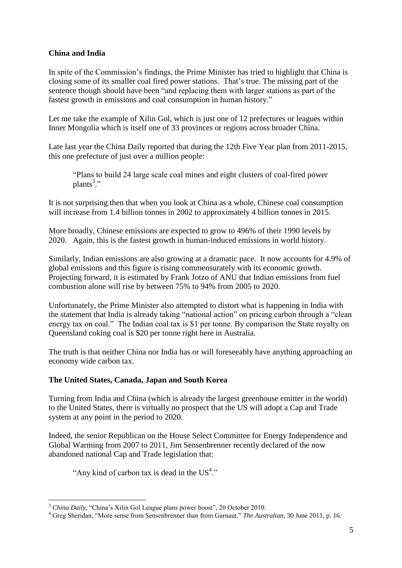## **China and India**

In spite of the Commission's findings, the Prime Minister has tried to highlight that China is closing some of its smaller coal fired power stations. That's true. The missing part of the sentence though should have been "and replacing them with larger stations as part of the fastest growth in emissions and coal consumption in human history."

Let me take the example of Xilin Gol, which is just one of 12 prefectures or leagues within Inner Mongolia which is itself one of 33 provinces or regions across broader China.

Late last year the China Daily reported that during the 12th Five Year plan from 2011-2015, this one prefecture of just over a million people:

―Plans to build 24 large scale coal mines and eight clusters of coal-fired power plants<sup>3</sup>."

It is not surprising then that when you look at China as a whole, Chinese coal consumption will increase from 1.4 billion tonnes in 2002 to approximately 4 billion tonnes in 2015.

More broadly, Chinese emissions are expected to grow to 496% of their 1990 levels by 2020. Again, this is the fastest growth in human-induced emissions in world history.

Similarly, Indian emissions are also growing at a dramatic pace. It now accounts for 4.9% of global emissions and this figure is rising commensurately with its economic growth. Projecting forward, it is estimated by Frank Jotzo of ANU that Indian emissions from fuel combustion alone will rise by between 75% to 94% from 2005 to 2020.

Unfortunately, the Prime Minister also attempted to distort what is happening in India with the statement that India is already taking "national action" on pricing carbon through a "clean energy tax on coal." The Indian coal tax is \$1 per tonne. By comparison the State royalty on Queensland coking coal is \$20 per tonne right here in Australia.

The truth is that neither China nor India has or will foreseeably have anything approaching an economy wide carbon tax.

## **The United States, Canada, Japan and South Korea**

Turning from India and China (which is already the largest greenhouse emitter in the world) to the United States, there is virtually no prospect that the US will adopt a Cap and Trade system at any point in the period to 2020.

Indeed, the senior Republican on the [House Select Committee for Energy Independence and](http://en.wikipedia.org/wiki/United_States_House_Select_Committee_on_Energy_Independence_and_Global_Warming)  [Global Warming](http://en.wikipedia.org/wiki/United_States_House_Select_Committee_on_Energy_Independence_and_Global_Warming) from 2007 to 2011, Jim Sensenbrenner recently declared of the now abandoned national Cap and Trade legislation that:

"Any kind of carbon tax is dead in the  $US^4$ ."

<sup>1</sup>  $3$  *China Daily*, "China's Xilin Gol League plans power boost", 20 October 2010.

<sup>&</sup>lt;sup>4</sup> Greg Sheridan, "More sense from Sensenbrenner than from Garnaut," The Australian, 30 June 2011, p. 16.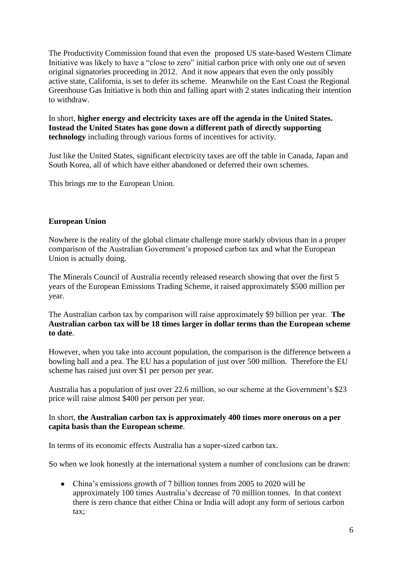The Productivity Commission found that even the proposed US state-based Western Climate Initiative was likely to have a "close to zero" initial carbon price with only one out of seven original signatories proceeding in 2012. And it now appears that even the only possibly active state, California, is set to defer its scheme. Meanwhile on the East Coast the Regional Greenhouse Gas Initiative is both thin and falling apart with 2 states indicating their intention to withdraw.

In short, **higher energy and electricity taxes are off the agenda in the United States. Instead the United States has gone down a different path of directly supporting technology** including through various forms of incentives for activity.

Just like the United States, significant electricity taxes are off the table in Canada, Japan and South Korea, all of which have either abandoned or deferred their own schemes.

This brings me to the European Union.

#### **European Union**

Nowhere is the reality of the global climate challenge more starkly obvious than in a proper comparison of the Australian Government's proposed carbon tax and what the European Union is actually doing.

The Minerals Council of Australia recently released research showing that over the first 5 years of the European Emissions Trading Scheme, it raised approximately \$500 million per year.

The Australian carbon tax by comparison will raise approximately \$9 billion per year. **The Australian carbon tax will be 18 times larger in dollar terms than the European scheme to date**.

However, when you take into account population, the comparison is the difference between a bowling ball and a pea. The EU has a population of just over 500 million. Therefore the EU scheme has raised just over \$1 per person per year.

Australia has a population of just over 22.6 million, so our scheme at the Government's \$23 price will raise almost \$400 per person per year.

#### In short, **the Australian carbon tax is approximately 400 times more onerous on a per capita basis than the European scheme**.

In terms of its economic effects Australia has a super-sized carbon tax.

So when we look honestly at the international system a number of conclusions can be drawn:

China's emissions growth of 7 billion tonnes from 2005 to 2020 will be approximately 100 times Australia's decrease of 70 million tonnes. In that context there is zero chance that either China or India will adopt any form of serious carbon tax;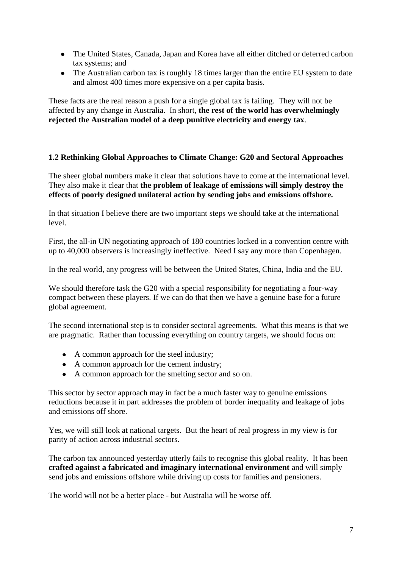- The United States, Canada, Japan and Korea have all either ditched or deferred carbon tax systems; and
- The Australian carbon tax is roughly 18 times larger than the entire EU system to date and almost 400 times more expensive on a per capita basis.

These facts are the real reason a push for a single global tax is failing. They will not be affected by any change in Australia. In short, **the rest of the world has overwhelmingly rejected the Australian model of a deep punitive electricity and energy tax**.

## **1.2 Rethinking Global Approaches to Climate Change: G20 and Sectoral Approaches**

The sheer global numbers make it clear that solutions have to come at the international level. They also make it clear that **the problem of leakage of emissions will simply destroy the effects of poorly designed unilateral action by sending jobs and emissions offshore.**

In that situation I believe there are two important steps we should take at the international level.

First, the all-in UN negotiating approach of 180 countries locked in a convention centre with up to 40,000 observers is increasingly ineffective. Need I say any more than Copenhagen.

In the real world, any progress will be between the United States, China, India and the EU.

We should therefore task the G20 with a special responsibility for negotiating a four-way compact between these players. If we can do that then we have a genuine base for a future global agreement.

The second international step is to consider sectoral agreements. What this means is that we are pragmatic. Rather than focussing everything on country targets, we should focus on:

- A common approach for the steel industry;
- A common approach for the cement industry;
- A common approach for the smelting sector and so on.

This sector by sector approach may in fact be a much faster way to genuine emissions reductions because it in part addresses the problem of border inequality and leakage of jobs and emissions off shore.

Yes, we will still look at national targets. But the heart of real progress in my view is for parity of action across industrial sectors.

The carbon tax announced yesterday utterly fails to recognise this global reality. It has been **crafted against a fabricated and imaginary international environment** and will simply send jobs and emissions offshore while driving up costs for families and pensioners.

The world will not be a better place - but Australia will be worse off.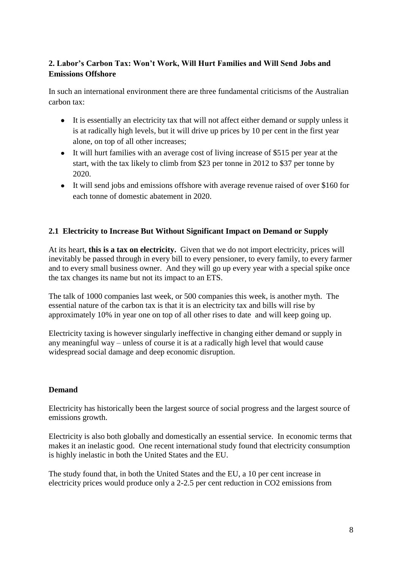# **2. Labor's Carbon Tax: Won't Work, Will Hurt Families and Will Send Jobs and Emissions Offshore**

In such an international environment there are three fundamental criticisms of the Australian carbon tax:

- It is essentially an electricity tax that will not affect either demand or supply unless it is at radically high levels, but it will drive up prices by 10 per cent in the first year alone, on top of all other increases;
- It will hurt families with an average cost of living increase of \$515 per year at the start, with the tax likely to climb from \$23 per tonne in 2012 to \$37 per tonne by 2020.
- It will send jobs and emissions offshore with average revenue raised of over \$160 for each tonne of domestic abatement in 2020.

# **2.1 Electricity to Increase But Without Significant Impact on Demand or Supply**

At its heart, **this is a tax on electricity.** Given that we do not import electricity, prices will inevitably be passed through in every bill to every pensioner, to every family, to every farmer and to every small business owner. And they will go up every year with a special spike once the tax changes its name but not its impact to an ETS.

The talk of 1000 companies last week, or 500 companies this week, is another myth. The essential nature of the carbon tax is that it is an electricity tax and bills will rise by approximately 10% in year one on top of all other rises to date and will keep going up.

Electricity taxing is however singularly ineffective in changing either demand or supply in any meaningful way – unless of course it is at a radically high level that would cause widespread social damage and deep economic disruption.

## **Demand**

Electricity has historically been the largest source of social progress and the largest source of emissions growth.

Electricity is also both globally and domestically an essential service. In economic terms that makes it an inelastic good. One recent international study found that electricity consumption is highly inelastic in both the United States and the EU.

The study found that, in both the United States and the EU, a 10 per cent increase in electricity prices would produce only a 2-2.5 per cent reduction in CO2 emissions from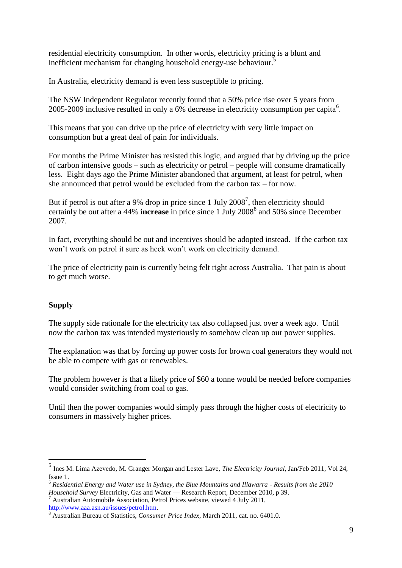residential electricity consumption. In other words, electricity pricing is a blunt and inefficient mechanism for changing household energy-use behaviour.<sup>5</sup>

In Australia, electricity demand is even less susceptible to pricing.

The NSW Independent Regulator recently found that a 50% price rise over 5 years from 2005-2009 inclusive resulted in only a 6% decrease in electricity consumption per capita<sup>6</sup>.

This means that you can drive up the price of electricity with very little impact on consumption but a great deal of pain for individuals.

For months the Prime Minister has resisted this logic, and argued that by driving up the price of carbon intensive goods – such as electricity or petrol – people will consume dramatically less. Eight days ago the Prime Minister abandoned that argument, at least for petrol, when she announced that petrol would be excluded from the carbon tax – for now.

But if petrol is out after a 9% drop in price since 1 July  $2008^7$ , then electricity should certainly be out after a 44% **increase** in price since 1 July 2008<sup>8</sup> and 50% since December 2007.

In fact, everything should be out and incentives should be adopted instead. If the carbon tax won't work on petrol it sure as heck won't work on electricity demand.

The price of electricity pain is currently being felt right across Australia. That pain is about to get much worse.

# **Supply**

1

The supply side rationale for the electricity tax also collapsed just over a week ago. Until now the carbon tax was intended mysteriously to somehow clean up our power supplies.

The explanation was that by forcing up power costs for brown coal generators they would not be able to compete with gas or renewables.

The problem however is that a likely price of \$60 a tonne would be needed before companies would consider switching from coal to gas.

Until then the power companies would simply pass through the higher costs of electricity to consumers in massively higher prices.

<sup>5</sup> Ines M. Lima Azevedo, M. Granger Morgan and Lester Lave, *The Electricity Journal,* Jan/Feb 2011, Vol 24, Issue 1.

<sup>6</sup> *Residential Energy and Water use in Sydney, the Blue Mountains and Illawarra - Results from the 2010 Household Survey* Electricity, Gas and Water — Research Report, December 2010, p 39.

<sup>7</sup> Australian Automobile Association, Petrol Prices website, viewed 4 July 2011, [http://www.aaa.asn.au/issues/petrol.htm.](http://www.aaa.asn.au/issues/petrol.htm)

<sup>8</sup> Australian Bureau of Statistics, *Consumer Price Index*, March 2011, cat. no. 6401.0.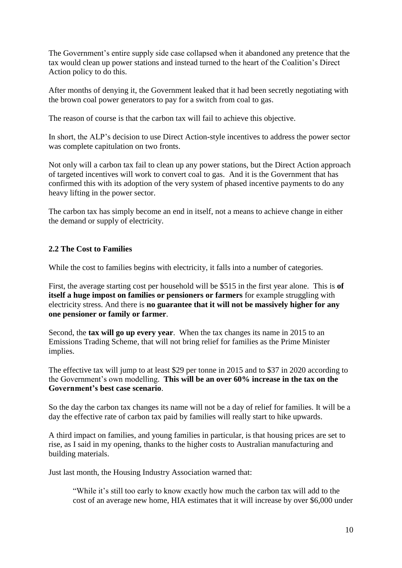The Government's entire supply side case collapsed when it abandoned any pretence that the tax would clean up power stations and instead turned to the heart of the Coalition's Direct Action policy to do this.

After months of denying it, the Government leaked that it had been secretly negotiating with the brown coal power generators to pay for a switch from coal to gas.

The reason of course is that the carbon tax will fail to achieve this objective.

In short, the ALP's decision to use Direct Action-style incentives to address the power sector was complete capitulation on two fronts.

Not only will a carbon tax fail to clean up any power stations, but the Direct Action approach of targeted incentives will work to convert coal to gas. And it is the Government that has confirmed this with its adoption of the very system of phased incentive payments to do any heavy lifting in the power sector.

The carbon tax has simply become an end in itself, not a means to achieve change in either the demand or supply of electricity.

#### **2.2 The Cost to Families**

While the cost to families begins with electricity, it falls into a number of categories.

First, the average starting cost per household will be \$515 in the first year alone. This is **of itself a huge impost on families or pensioners or farmers** for example struggling with electricity stress. And there is **no guarantee that it will not be massively higher for any one pensioner or family or farmer**.

Second, the **tax will go up every year**. When the tax changes its name in 2015 to an Emissions Trading Scheme, that will not bring relief for families as the Prime Minister implies.

The effective tax will jump to at least \$29 per tonne in 2015 and to \$37 in 2020 according to the Government's own modelling. **This will be an over 60% increase in the tax on the Government's best case scenario**.

So the day the carbon tax changes its name will not be a day of relief for families. It will be a day the effective rate of carbon tax paid by families will really start to hike upwards.

A third impact on families, and young families in particular, is that housing prices are set to rise, as I said in my opening, thanks to the higher costs to Australian manufacturing and building materials.

Just last month, the Housing Industry Association warned that:

―While it's still too early to know exactly how much the carbon tax will add to the cost of an average new home, HIA estimates that it will increase by over \$6,000 under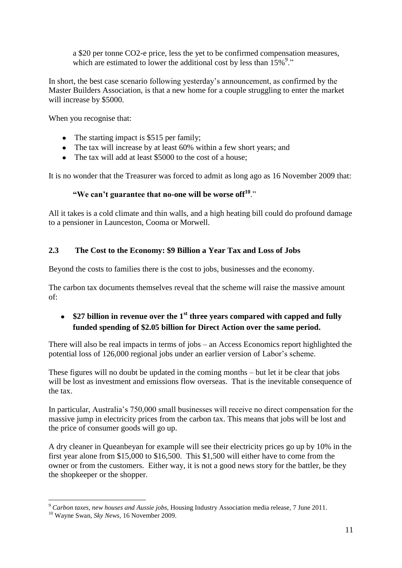a \$20 per tonne CO2-e price, less the yet to be confirmed compensation measures, which are estimated to lower the additional cost by less than  $15\%^9$ ."

In short, the best case scenario following yesterday's announcement, as confirmed by the Master Builders Association, is that a new home for a couple struggling to enter the market will increase by \$5000.

When you recognise that:

- The starting impact is \$515 per family:
- The tax will increase by at least 60% within a few short years; and
- The tax will add at least \$5000 to the cost of a house;

It is no wonder that the Treasurer was forced to admit as long ago as 16 November 2009 that:

# "We can't guarantee that no-one will be worse off<sup>10</sup>."

All it takes is a cold climate and thin walls, and a high heating bill could do profound damage to a pensioner in Launceston, Cooma or Morwell.

# **2.3 The Cost to the Economy: \$9 Billion a Year Tax and Loss of Jobs**

Beyond the costs to families there is the cost to jobs, businesses and the economy.

The carbon tax documents themselves reveal that the scheme will raise the massive amount of:

# **\$27 billion in revenue over the 1st three years compared with capped and fully funded spending of \$2.05 billion for Direct Action over the same period.**

There will also be real impacts in terms of jobs – an Access Economics report highlighted the potential loss of 126,000 regional jobs under an earlier version of Labor's scheme.

These figures will no doubt be updated in the coming months – but let it be clear that jobs will be lost as investment and emissions flow overseas. That is the inevitable consequence of the tax.

In particular, Australia's 750,000 small businesses will receive no direct compensation for the massive jump in electricity prices from the carbon tax. This means that jobs will be lost and the price of consumer goods will go up.

A dry cleaner in Queanbeyan for example will see their electricity prices go up by 10% in the first year alone from \$15,000 to \$16,500. This \$1,500 will either have to come from the owner or from the customers. Either way, it is not a good news story for the battler, be they the shopkeeper or the shopper.

<sup>1</sup> <sup>9</sup> *Carbon taxes, new houses and Aussie jobs*, Housing Industry Association media release, 7 June 2011.

<sup>10</sup> Wayne Swan, *Sky News*, 16 November 2009.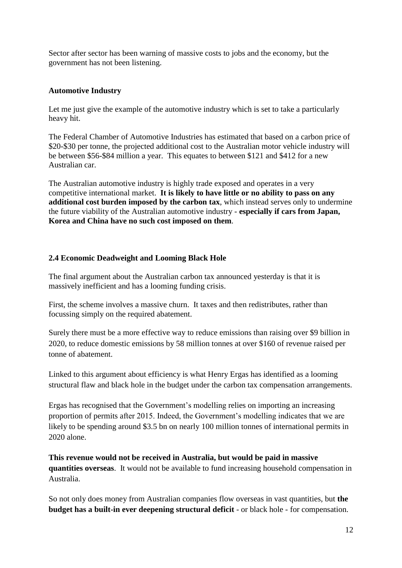Sector after sector has been warning of massive costs to jobs and the economy, but the government has not been listening.

#### **Automotive Industry**

Let me just give the example of the automotive industry which is set to take a particularly heavy hit.

The Federal Chamber of Automotive Industries has estimated that based on a carbon price of \$20-\$30 per tonne, the projected additional cost to the Australian motor vehicle industry will be between \$56-\$84 million a year. This equates to between \$121 and \$412 for a new Australian car.

The Australian automotive industry is highly trade exposed and operates in a very competitive international market. **It is likely to have little or no ability to pass on any additional cost burden imposed by the carbon tax**, which instead serves only to undermine the future viability of the Australian automotive industry - **especially if cars from Japan, Korea and China have no such cost imposed on them**.

## **2.4 Economic Deadweight and Looming Black Hole**

The final argument about the Australian carbon tax announced yesterday is that it is massively inefficient and has a looming funding crisis.

First, the scheme involves a massive churn. It taxes and then redistributes, rather than focussing simply on the required abatement.

Surely there must be a more effective way to reduce emissions than raising over \$9 billion in 2020, to reduce domestic emissions by 58 million tonnes at over \$160 of revenue raised per tonne of abatement.

Linked to this argument about efficiency is what Henry Ergas has identified as a looming structural flaw and black hole in the budget under the carbon tax compensation arrangements.

Ergas has recognised that the Government's modelling relies on importing an increasing proportion of permits after 2015. Indeed, the Government's modelling indicates that we are likely to be spending around \$3.5 bn on nearly 100 million tonnes of international permits in 2020 alone.

**This revenue would not be received in Australia, but would be paid in massive quantities overseas**. It would not be available to fund increasing household compensation in Australia.

So not only does money from Australian companies flow overseas in vast quantities, but **the budget has a built-in ever deepening structural deficit** - or black hole - for compensation.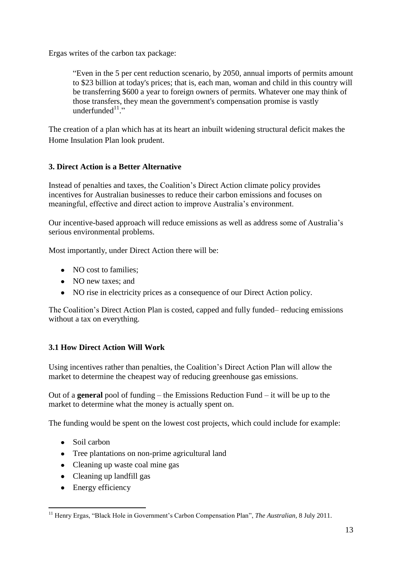Ergas writes of the carbon tax package:

―Even in the 5 per cent reduction scenario, by 2050, annual imports of permits amount to \$23 billion at today's prices; that is, each man, woman and child in this country will be transferring \$600 a year to foreign owners of permits. Whatever one may think of those transfers, they mean the government's compensation promise is vastly underfunded $1!$ ."

The creation of a plan which has at its heart an inbuilt widening structural deficit makes the Home Insulation Plan look prudent.

# **3. Direct Action is a Better Alternative**

Instead of penalties and taxes, the Coalition's Direct Action climate policy provides incentives for Australian businesses to reduce their carbon emissions and focuses on meaningful, effective and direct action to improve Australia's environment.

Our incentive-based approach will reduce emissions as well as address some of Australia's serious environmental problems.

Most importantly, under Direct Action there will be:

- NO cost to families:
- NO new taxes; and
- NO rise in electricity prices as a consequence of our Direct Action policy.

The Coalition's Direct Action Plan is costed, capped and fully funded– reducing emissions without a tax on everything.

# **3.1 How Direct Action Will Work**

Using incentives rather than penalties, the Coalition's Direct Action Plan will allow the market to determine the cheapest way of reducing greenhouse gas emissions.

Out of a **general** pool of funding – the Emissions Reduction Fund – it will be up to the market to determine what the money is actually spent on.

The funding would be spent on the lowest cost projects, which could include for example:

- Soil carbon
- Tree plantations on non-prime agricultural land
- Cleaning up waste coal mine gas
- Cleaning up landfill gas
- Energy efficiency

<sup>1</sup> <sup>11</sup> Henry Ergas, "Black Hole in Government's Carbon Compensation Plan", *The Australian*, 8 July 2011.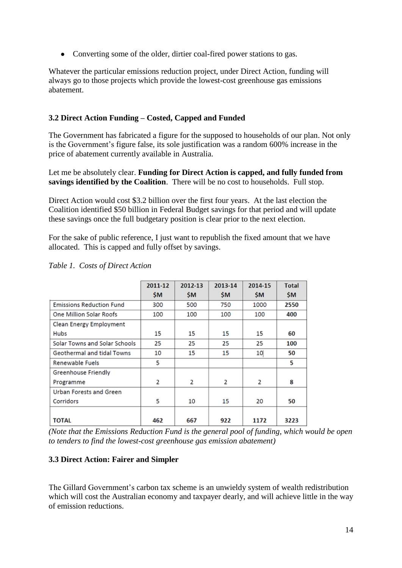• Converting some of the older, dirtier coal-fired power stations to gas.

Whatever the particular emissions reduction project, under Direct Action, funding will always go to those projects which provide the lowest-cost greenhouse gas emissions abatement.

# **3.2 Direct Action Funding – Costed, Capped and Funded**

The Government has fabricated a figure for the supposed to households of our plan. Not only is the Government's figure false, its sole justification was a random 600% increase in the price of abatement currently available in Australia.

Let me be absolutely clear. **Funding for Direct Action is capped, and fully funded from savings identified by the Coalition**. There will be no cost to households. Full stop.

Direct Action would cost \$3.2 billion over the first four years. At the last election the Coalition identified \$50 billion in Federal Budget savings for that period and will update these savings once the full budgetary position is clear prior to the next election.

For the sake of public reference, I just want to republish the fixed amount that we have allocated. This is capped and fully offset by savings.

|                                 | 2011-12   | 2012-13 | 2013-14   | 2014-15 | <b>Total</b> |
|---------------------------------|-----------|---------|-----------|---------|--------------|
|                                 | <b>SM</b> | \$M     | <b>SM</b> | SΜ      | \$M          |
| <b>Emissions Reduction Fund</b> | 300       | 500     | 750       | 1000    | 2550         |
| One Million Solar Roofs         | 100       | 100     | 100       | 100     | 400          |
| Clean Energy Employment         |           |         |           |         |              |
| <b>Hubs</b>                     | 15        | 15      | 15        | 15      | 60           |
| Solar Towns and Solar Schools   | 25        | 25      | 25        | 25      | 100          |
| Geothermal and tidal Towns      | 10        | 15      | 15        | 10      | 50           |
| <b>Renewable Fuels</b>          | 5         |         |           |         | 5            |
| Greenhouse Friendly             |           |         |           |         |              |
| Programme                       | 2         | 2       | 2         | 2       | 8            |
| <b>Urban Forests and Green</b>  |           |         |           |         |              |
| Corridors                       | 5         | 10      | 15        | 20      | 50           |
|                                 |           |         |           |         |              |
| <b>TOTAL</b>                    | 462       | 667     | 922       | 1172    | 3223         |

*Table 1. Costs of Direct Action*

*(Note that the Emissions Reduction Fund is the general pool of funding, which would be open to tenders to find the lowest-cost greenhouse gas emission abatement)*

## **3.3 Direct Action: Fairer and Simpler**

The Gillard Government's carbon tax scheme is an unwieldy system of wealth redistribution which will cost the Australian economy and taxpayer dearly, and will achieve little in the way of emission reductions.